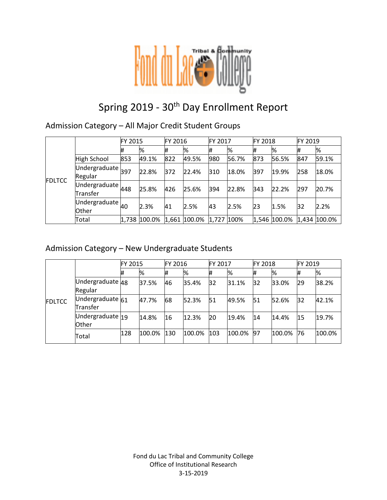

# Spring 2019 - 30<sup>th</sup> Day Enrollment Report

Admission Category – All Major Credit Student Groups

|               |                                                                          | FY 2015 |              | FY 2016 |              | FY 2017    |       | <b>FY 2018</b> |              | FY 2019 |              |
|---------------|--------------------------------------------------------------------------|---------|--------------|---------|--------------|------------|-------|----------------|--------------|---------|--------------|
|               |                                                                          |         | %            | #       | %            | #          | %     | Ħ              | %            | #       | %            |
|               | High School                                                              | 853     | 49.1%        | 822     | 49.5%        | 980        | 56.7% | 873            | 56.5%        | 847     | 59.1%        |
| <b>FDLTCC</b> | $\overline{\bigcup_{\text{M} \text{dergraduate}}\big _{397}}$<br>Regular |         | 22.8%        | 372     | 22.4%        | 310        | 18.0% | 397            | 19.9%        | 258     | 18.0%        |
|               | Undergraduate $448$<br>Transfer                                          |         | 25.8%        | 426     | 25.6%        | 394        | 22.8% | 343            | 22.2%        | 297     | 20.7%        |
|               | Undergraduate $\vert_{40}$<br><b>Other</b>                               |         | 2.3%         | 41      | 2.5%         | 43         | 2.5%  | 23             | 1.5%         | 32      | 2.2%         |
|               | Total                                                                    |         | 1,738 100.0% |         | 1,661 100.0% | 1,727 100% |       |                | 1,546 100.0% |         | 1,434 100.0% |

### Admission Category – New Undergraduate Students

|               |                              | FY 2015 |        | FY 2016 |        | FY 2017 |        | <b>FY 2018</b> |        | FY 2019 |        |
|---------------|------------------------------|---------|--------|---------|--------|---------|--------|----------------|--------|---------|--------|
| <b>FDLTCC</b> |                              | #       | %      | Ħ       | %      | #       | %      | #              | %      | #       | %      |
|               | Undergraduate 48<br>Regular  |         | 37.5%  | 46      | 35.4%  | 32      | 31.1%  | 32             | 33.0%  | 29      | 38.2%  |
|               | Undergraduate 61<br>Transfer |         | 47.7%  | 68      | 52.3%  | 51      | 49.5%  | 51             | 52.6%  | 32      | 42.1%  |
|               | Undergraduate 19<br>Other    |         | 14.8%  | 16      | 12.3%  | 20      | 19.4%  | 14             | 14.4%  | 15      | 19.7%  |
|               | Total                        | 128     | 100.0% | 130     | 100.0% | 103     | 100.0% | 97             | 100.0% | 76      | 100.0% |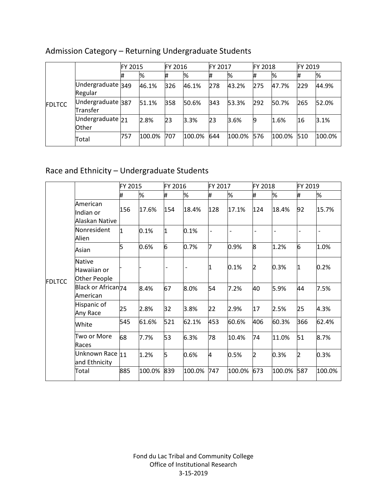|               |                               | <b>FY 2015</b> |        | FY 2016 |        | FY 2017 |        | <b>FY 2018</b> |        | FY 2019 |        |
|---------------|-------------------------------|----------------|--------|---------|--------|---------|--------|----------------|--------|---------|--------|
| <b>FDLTCC</b> |                               | 1#             | %      |         | %      |         | %      | #              | %      |         | %      |
|               | Undergraduate 349<br>Regular  |                | 46.1%  | 326     | 46.1%  | 278     | 43.2%  | 275            | 47.7%  | 229     | 44.9%  |
|               | Undergraduate 387<br>Transfer |                | 51.1%  | 358     | 50.6%  | 343     | 53.3%  | 292            | 50.7%  | 265     | 52.0%  |
|               | Undergraduate $21$<br>Other   |                | 2.8%   | 23      | 3.3%   | 23      | 3.6%   | 9              | 1.6%   | 16      | 3.1%   |
|               | Total                         | 757            | 100.0% | 707     | 100.0% | 644     | 100.0% | 576            | 100.0% | 510     | 100.0% |

# Admission Category – Returning Undergraduate Students

# Race and Ethnicity – Undergraduate Students

|               |                                              | FY 2015 |        | FY 2016                      |        | FY 2017 |                          | FY 2018        |        | FY 2019                  |        |
|---------------|----------------------------------------------|---------|--------|------------------------------|--------|---------|--------------------------|----------------|--------|--------------------------|--------|
|               |                                              | #       | %      | #                            | %      | #       | %                        | #              | %      | #                        | %      |
|               | American<br>Indian or<br>Alaskan Native      | 156     | 17.6%  | 154                          | 18.4%  | 128     | 17.1%                    | 124            | 18.4%  | 92                       | 15.7%  |
|               | Nonresident<br>Alien                         | 1       | 0.1%   | 1                            | 0.1%   |         | $\overline{\phantom{0}}$ |                |        | $\overline{\phantom{a}}$ |        |
|               | Asian                                        | 5       | 0.6%   | 6                            | 0.7%   | 7       | 0.9%                     | l8             | 1.2%   | 6                        | 1.0%   |
| <b>FDLTCC</b> | <b>Native</b><br>Hawaiian or<br>Other People |         |        | $\qquad \qquad \blacksquare$ |        | 1       | 0.1%                     | 2              | 0.3%   | 11                       | 0.2%   |
|               | Black or African <sub>74</sub><br>American   |         | 8.4%   | 67                           | 8.0%   | 54      | 7.2%                     | 40             | 5.9%   | 44                       | 7.5%   |
|               | Hispanic of<br>Any Race                      | 25      | 2.8%   | 32                           | 3.8%   | 22      | 2.9%                     | 17             | 2.5%   | 25                       | 4.3%   |
|               | White                                        | 545     | 61.6%  | 521                          | 62.1%  | 453     | 60.6%                    | 406            | 60.3%  | 366                      | 62.4%  |
|               | Two or More<br>Races                         | 68      | 7.7%   | 53                           | 6.3%   | 78      | 10.4%                    | 74             | 11.0%  | 51                       | 8.7%   |
|               | Unknown Race 11<br>and Ethnicity             |         | 1.2%   | 5                            | 0.6%   | 4       | 0.5%                     | $\overline{2}$ | 0.3%   | 2                        | 0.3%   |
|               | Total                                        | 885     | 100.0% | 839                          | 100.0% | 747     | 100.0%                   | 673            | 100.0% | 587                      | 100.0% |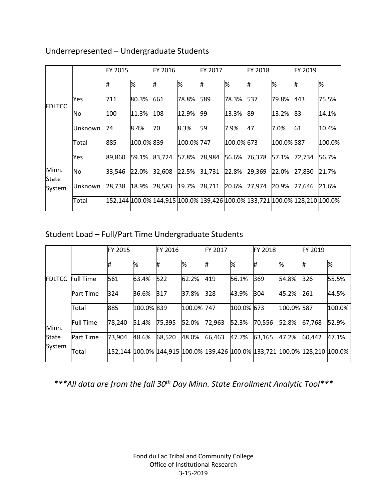|                |           | FY 2015 |            | FY 2016                                                                    |            | FY 2017 |            | <b>FY 2018</b> |            | FY 2019 |        |
|----------------|-----------|---------|------------|----------------------------------------------------------------------------|------------|---------|------------|----------------|------------|---------|--------|
| FDLTCC         |           | #       | %          | #                                                                          | %          | Ħ.      | %          | Ħ.             | %          | Ħ.      | %      |
|                | Yes       | 711     | 80.3%      | 661                                                                        | 78.8%      | 589     | 78.3%      | 537            | 79.8%      | 443     | 75.5%  |
|                | <b>No</b> | 100     | 11.3%      | 108                                                                        | 12.9%      | 99      | 13.3%      | 89             | 13.2%      | 83      | 14.1%  |
|                | lUnknown  | 74      | 8.4%       | 70                                                                         | 8.3%       | 59      | 7.9%       | 47             | 7.0%       | 61      | 10.4%  |
|                | Total     | 885     | 100.0% 839 |                                                                            | 100.0% 747 |         | 100.0% 673 |                | 100.0% 587 |         | 100.0% |
|                | Yes       | 89,860  | 59.1%      | 83,724                                                                     | 57.8%      | 78,984  | 56.6%      | 76,378         | 57.1%      | 72,734  | 56.7%  |
| Minn.<br>State | <b>No</b> | 33,546  | 22.0%      | 32,608                                                                     | 22.5%      | 31,731  | 22.8%      | 29,369         | 22.0%      | 27,830  | 21.7%  |
| System         | lUnknown  | 28,738  | 18.9%      | 28,583                                                                     | 19.7%      | 28,711  | 20.6%      | 27,974         | 20.9%      | 27,646  | 21.6%  |
|                | Total     |         |            | 152,144 100.0% 144,915 100.0% 139,426 100.0% 133,721 100.0% 128,210 100.0% |            |         |            |                |            |         |        |

### Underrepresented – Undergraduate Students

# Student Load – Full/Part Time Undergraduate Students

|               |                  | <b>FY 2015</b> |            | FY 2016                                                                             |            | <b>FY 2017</b> |            | <b>FY 2018</b> |            | FY 2019 |        |
|---------------|------------------|----------------|------------|-------------------------------------------------------------------------------------|------------|----------------|------------|----------------|------------|---------|--------|
|               |                  | #              | %          | #                                                                                   | %          | #              | %          | #              | %          | #       | $\%$   |
| <b>FDLTCC</b> | <b>Full Time</b> | 561            | 63.4%      | 522                                                                                 | 62.2%      | 419            | 56.1%      | 369            | 54.8%      | 326     | 55.5%  |
|               | <b>Part Time</b> | 324            | 36.6%      | 317                                                                                 | 37.8%      | 328            | 43.9%      | 304            | 45.2%      | 261     | 44.5%  |
|               | Total            | 885            | 100.0% 839 |                                                                                     | 100.0% 747 |                | 100.0% 673 |                | 100.0% 587 |         | 100.0% |
| Minn.         | <b>Full Time</b> | 78,240         | 51.4%      | 75,395                                                                              | 52.0%      | 72,963         | 52.3%      | 70,556         | 52.8%      | 67,768  | 52.9%  |
| State         | <b>Part Time</b> | 73,904         | 48.6%      | 68,520                                                                              | 48.0%      | 66,463         | 47.7%      | 63,165         | 47.2%      | 60,442  | 47.1%  |
| System        | Total            |                |            | 152,144  100.0%  144,915  100.0%  139,426  100.0%  133,721  100.0%  128,210  100.0% |            |                |            |                |            |         |        |

*\*\*\*All data are from the fall 30th Day Minn. State Enrollment Analytic Tool\*\*\**